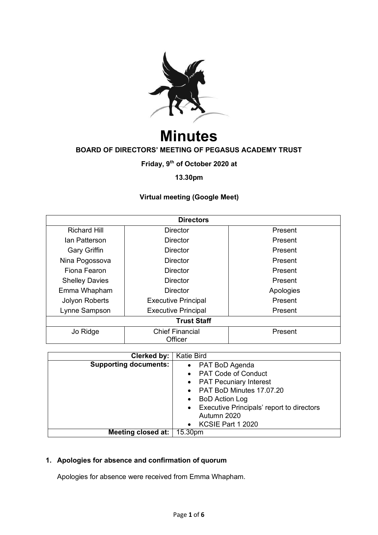

# **Minutes BOARD OF DIRECTORS' MEETING OF PEGASUS ACADEMY TRUST**

**Friday, 9th of October 2020 at** 

# **13.30pm**

# **Virtual meeting (Google Meet)**

| <b>Directors</b>      |                                   |           |  |
|-----------------------|-----------------------------------|-----------|--|
| <b>Richard Hill</b>   | <b>Director</b>                   | Present   |  |
| Ian Patterson         | Director                          | Present   |  |
| <b>Gary Griffin</b>   | Director                          | Present   |  |
| Nina Pogossova        | Director                          | Present   |  |
| Fiona Fearon          | <b>Director</b>                   | Present   |  |
| <b>Shelley Davies</b> | Director                          | Present   |  |
| Emma Whapham          | <b>Director</b>                   | Apologies |  |
| Jolyon Roberts        | <b>Executive Principal</b>        | Present   |  |
| Lynne Sampson         | <b>Executive Principal</b>        | Present   |  |
| <b>Trust Staff</b>    |                                   |           |  |
| Jo Ridge              | <b>Chief Financial</b><br>Officer | Present   |  |

| Clerked by:                  | <b>Katie Bird</b>                         |  |
|------------------------------|-------------------------------------------|--|
| <b>Supporting documents:</b> | PAT BoD Agenda<br>$\bullet$               |  |
|                              | <b>PAT Code of Conduct</b>                |  |
|                              | <b>PAT Pecuniary Interest</b>             |  |
|                              | PAT BoD Minutes 17.07.20                  |  |
|                              | <b>BoD</b> Action Log                     |  |
|                              | Executive Principals' report to directors |  |
|                              | Autumn 2020                               |  |
|                              | KCSIE Part 1 2020                         |  |
| Meeting closed at:   15.30pm |                                           |  |

# **1. Apologies for absence and confirmation of quorum**

Apologies for absence were received from Emma Whapham.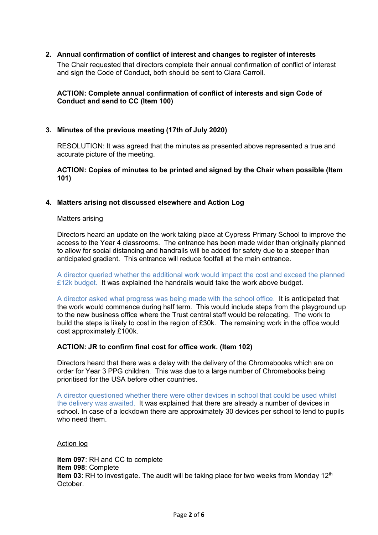## **2. Annual confirmation of conflict of interest and changes to register of interests**

The Chair requested that directors complete their annual confirmation of conflict of interest and sign the Code of Conduct, both should be sent to Ciara Carroll.

## **ACTION: Complete annual confirmation of conflict of interests and sign Code of Conduct and send to CC (Item 100)**

#### **3. Minutes of the previous meeting (17th of July 2020)**

RESOLUTION: It was agreed that the minutes as presented above represented a true and accurate picture of the meeting.

#### **ACTION: Copies of minutes to be printed and signed by the Chair when possible (Item 101)**

#### **4. Matters arising not discussed elsewhere and Action Log**

#### Matters arising

Directors heard an update on the work taking place at Cypress Primary School to improve the access to the Year 4 classrooms. The entrance has been made wider than originally planned to allow for social distancing and handrails will be added for safety due to a steeper than anticipated gradient. This entrance will reduce footfall at the main entrance.

A director queried whether the additional work would impact the cost and exceed the planned £12k budget. It was explained the handrails would take the work above budget.

A director asked what progress was being made with the school office. It is anticipated that the work would commence during half term. This would include steps from the playground up to the new business office where the Trust central staff would be relocating. The work to build the steps is likely to cost in the region of £30k. The remaining work in the office would cost approximately £100k.

#### **ACTION: JR to confirm final cost for office work. (Item 102)**

Directors heard that there was a delay with the delivery of the Chromebooks which are on order for Year 3 PPG children. This was due to a large number of Chromebooks being prioritised for the USA before other countries.

A director questioned whether there were other devices in school that could be used whilst the delivery was awaited. It was explained that there are already a number of devices in school. In case of a lockdown there are approximately 30 devices per school to lend to pupils who need them.

#### Action log

**Item 097**: RH and CC to complete **Item 098**: Complete **Item 03**: RH to investigate. The audit will be taking place for two weeks from Monday 12<sup>th</sup> October.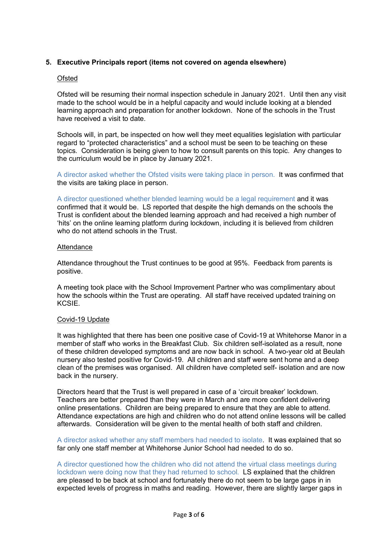# **5. Executive Principals report (items not covered on agenda elsewhere)**

#### Ofsted

Ofsted will be resuming their normal inspection schedule in January 2021. Until then any visit made to the school would be in a helpful capacity and would include looking at a blended learning approach and preparation for another lockdown. None of the schools in the Trust have received a visit to date.

Schools will, in part, be inspected on how well they meet equalities legislation with particular regard to "protected characteristics" and a school must be seen to be teaching on these topics. Consideration is being given to how to consult parents on this topic. Any changes to the curriculum would be in place by January 2021.

A director asked whether the Ofsted visits were taking place in person. It was confirmed that the visits are taking place in person.

A director questioned whether blended learning would be a legal requirement and it was confirmed that it would be. LS reported that despite the high demands on the schools the Trust is confident about the blended learning approach and had received a high number of 'hits' on the online learning platform during lockdown, including it is believed from children who do not attend schools in the Trust.

#### **Attendance**

Attendance throughout the Trust continues to be good at 95%. Feedback from parents is positive.

A meeting took place with the School Improvement Partner who was complimentary about how the schools within the Trust are operating. All staff have received updated training on **KCSIF** 

#### Covid-19 Update

It was highlighted that there has been one positive case of Covid-19 at Whitehorse Manor in a member of staff who works in the Breakfast Club. Six children self-isolated as a result, none of these children developed symptoms and are now back in school. A two-year old at Beulah nursery also tested positive for Covid-19. All children and staff were sent home and a deep clean of the premises was organised. All children have completed self- isolation and are now back in the nursery.

Directors heard that the Trust is well prepared in case of a 'circuit breaker' lockdown. Teachers are better prepared than they were in March and are more confident delivering online presentations. Children are being prepared to ensure that they are able to attend. Attendance expectations are high and children who do not attend online lessons will be called afterwards. Consideration will be given to the mental health of both staff and children.

A director asked whether any staff members had needed to isolate. It was explained that so far only one staff member at Whitehorse Junior School had needed to do so.

A director questioned how the children who did not attend the virtual class meetings during lockdown were doing now that they had returned to school. LS explained that the children are pleased to be back at school and fortunately there do not seem to be large gaps in in expected levels of progress in maths and reading. However, there are slightly larger gaps in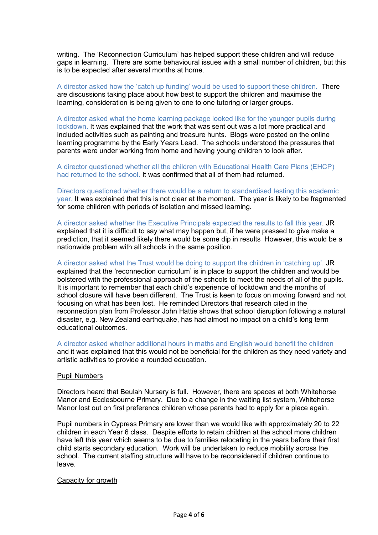writing. The 'Reconnection Curriculum' has helped support these children and will reduce gaps in learning. There are some behavioural issues with a small number of children, but this is to be expected after several months at home.

A director asked how the 'catch up funding' would be used to support these children. There are discussions taking place about how best to support the children and maximise the learning, consideration is being given to one to one tutoring or larger groups.

A director asked what the home learning package looked like for the younger pupils during lockdown. It was explained that the work that was sent out was a lot more practical and included activities such as painting and treasure hunts. Blogs were posted on the online learning programme by the Early Years Lead. The schools understood the pressures that parents were under working from home and having young children to look after.

A director questioned whether all the children with Educational Health Care Plans (EHCP) had returned to the school. It was confirmed that all of them had returned.

Directors questioned whether there would be a return to standardised testing this academic year. It was explained that this is not clear at the moment. The year is likely to be fragmented for some children with periods of isolation and missed learning.

A director asked whether the Executive Principals expected the results to fall this year. JR explained that it is difficult to say what may happen but, if he were pressed to give make a prediction, that it seemed likely there would be some dip in results However, this would be a nationwide problem with all schools in the same position.

A director asked what the Trust would be doing to support the children in 'catching up'. JR explained that the 'reconnection curriculum' is in place to support the children and would be bolstered with the professional approach of the schools to meet the needs of all of the pupils. It is important to remember that each child's experience of lockdown and the months of school closure will have been different. The Trust is keen to focus on moving forward and not focusing on what has been lost. He reminded Directors that research cited in the reconnection plan from Professor John Hattie shows that school disruption following a natural disaster, e.g. New Zealand earthquake, has had almost no impact on a child's long term educational outcomes.

A director asked whether additional hours in maths and English would benefit the children and it was explained that this would not be beneficial for the children as they need variety and artistic activities to provide a rounded education.

#### Pupil Numbers

Directors heard that Beulah Nursery is full. However, there are spaces at both Whitehorse Manor and Ecclesbourne Primary. Due to a change in the waiting list system, Whitehorse Manor lost out on first preference children whose parents had to apply for a place again.

Pupil numbers in Cypress Primary are lower than we would like with approximately 20 to 22 children in each Year 6 class. Despite efforts to retain children at the school more children have left this year which seems to be due to families relocating in the years before their first child starts secondary education. Work will be undertaken to reduce mobility across the school. The current staffing structure will have to be reconsidered if children continue to leave.

#### Capacity for growth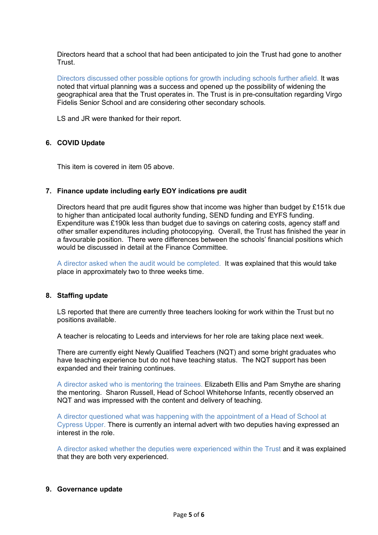Directors heard that a school that had been anticipated to join the Trust had gone to another **Trust** 

Directors discussed other possible options for growth including schools further afield. It was noted that virtual planning was a success and opened up the possibility of widening the geographical area that the Trust operates in. The Trust is in pre-consultation regarding Virgo Fidelis Senior School and are considering other secondary schools.

LS and JR were thanked for their report.

#### **6. COVID Update**

This item is covered in item 05 above.

#### **7. Finance update including early EOY indications pre audit**

Directors heard that pre audit figures show that income was higher than budget by £151k due to higher than anticipated local authority funding, SEND funding and EYFS funding. Expenditure was £190k less than budget due to savings on catering costs, agency staff and other smaller expenditures including photocopying. Overall, the Trust has finished the year in a favourable position. There were differences between the schools' financial positions which would be discussed in detail at the Finance Committee.

A director asked when the audit would be completed. It was explained that this would take place in approximately two to three weeks time.

#### **8. Staffing update**

LS reported that there are currently three teachers looking for work within the Trust but no positions available.

A teacher is relocating to Leeds and interviews for her role are taking place next week.

There are currently eight Newly Qualified Teachers (NQT) and some bright graduates who have teaching experience but do not have teaching status. The NQT support has been expanded and their training continues.

A director asked who is mentoring the trainees. Elizabeth Ellis and Pam Smythe are sharing the mentoring. Sharon Russell, Head of School Whitehorse Infants, recently observed an NQT and was impressed with the content and delivery of teaching.

A director questioned what was happening with the appointment of a Head of School at Cypress Upper. There is currently an internal advert with two deputies having expressed an interest in the role.

A director asked whether the deputies were experienced within the Trust and it was explained that they are both very experienced.

#### **9. Governance update**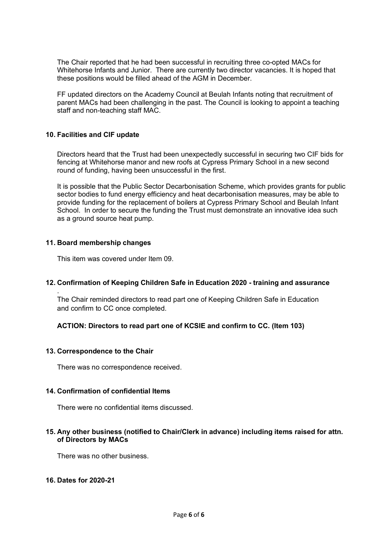The Chair reported that he had been successful in recruiting three co-opted MACs for Whitehorse Infants and Junior. There are currently two director vacancies. It is hoped that these positions would be filled ahead of the AGM in December.

FF updated directors on the Academy Council at Beulah Infants noting that recruitment of parent MACs had been challenging in the past. The Council is looking to appoint a teaching staff and non-teaching staff MAC.

# **10. Facilities and CIF update**

Directors heard that the Trust had been unexpectedly successful in securing two CIF bids for fencing at Whitehorse manor and new roofs at Cypress Primary School in a new second round of funding, having been unsuccessful in the first.

It is possible that the Public Sector Decarbonisation Scheme, which provides grants for public sector bodies to fund energy efficiency and heat decarbonisation measures, may be able to provide funding for the replacement of boilers at Cypress Primary School and Beulah Infant School. In order to secure the funding the Trust must demonstrate an innovative idea such as a ground source heat pump.

#### **11. Board membership changes**

.

This item was covered under Item 09.

# **12. Confirmation of Keeping Children Safe in Education 2020 - training and assurance**

The Chair reminded directors to read part one of Keeping Children Safe in Education and confirm to CC once completed.

# **ACTION: Directors to read part one of KCSIE and confirm to CC. (Item 103)**

#### **13. Correspondence to the Chair**

There was no correspondence received.

#### **14. Confirmation of confidential Items**

There were no confidential items discussed.

#### **15. Any other business (notified to Chair/Clerk in advance) including items raised for attn. of Directors by MACs**

There was no other business.

#### **16. Dates for 2020-21**